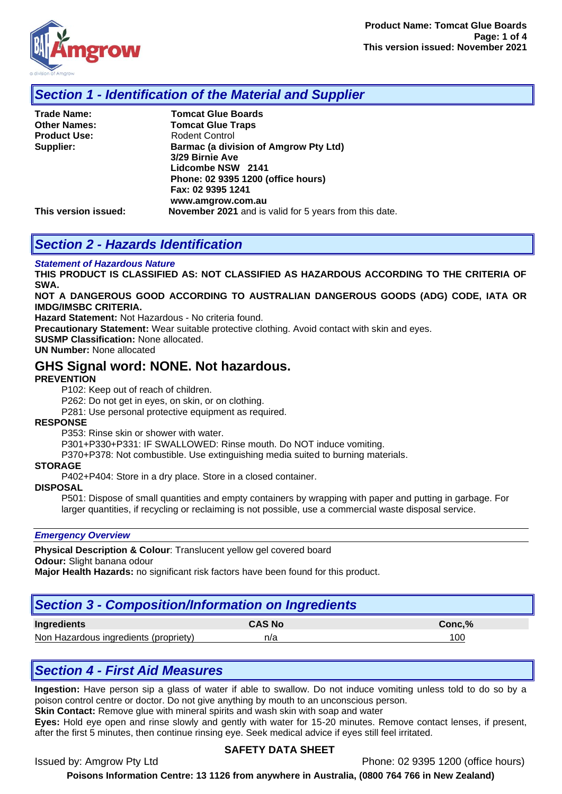

### *Section 1 - Identification of the Material and Supplier*

| <b>Trade Name:</b>  |
|---------------------|
| <b>Other Names:</b> |
| <b>Product Use:</b> |
| Supplier:           |

**Tomcat Glue Boards Tomcat Glue Traps Rodent Control Barmac (a division of Amgrow Pty Ltd) 3/29 Birnie Ave Lidcombe NSW 2141 Phone: 02 9395 1200 (office hours) Fax: 02 9395 1241 www.amgrow.com.au This version issued: November 2021** and is valid for 5 years from this date.

## *Section 2 - Hazards Identification*

#### *Statement of Hazardous Nature*

**THIS PRODUCT IS CLASSIFIED AS: NOT CLASSIFIED AS HAZARDOUS ACCORDING TO THE CRITERIA OF SWA.** 

**NOT A DANGEROUS GOOD ACCORDING TO AUSTRALIAN DANGEROUS GOODS (ADG) CODE, IATA OR IMDG/IMSBC CRITERIA.**

**Hazard Statement:** Not Hazardous - No criteria found.

**Precautionary Statement:** Wear suitable protective clothing. Avoid contact with skin and eyes.

**SUSMP Classification:** None allocated.

**UN Number:** None allocated

### **GHS Signal word: NONE. Not hazardous.**

#### **PREVENTION**

P102: Keep out of reach of children.

P262: Do not get in eyes, on skin, or on clothing.

P281: Use personal protective equipment as required.

#### **RESPONSE**

P353: Rinse skin or shower with water.

P301+P330+P331: IF SWALLOWED: Rinse mouth. Do NOT induce vomiting.

P370+P378: Not combustible. Use extinguishing media suited to burning materials.

#### **STORAGE**

P402+P404: Store in a dry place. Store in a closed container.

#### **DISPOSAL**

P501: Dispose of small quantities and empty containers by wrapping with paper and putting in garbage. For larger quantities, if recycling or reclaiming is not possible, use a commercial waste disposal service.

#### *Emergency Overview*

**Physical Description & Colour**: Translucent yellow gel covered board **Odour:** Slight banana odour

**Major Health Hazards:** no significant risk factors have been found for this product.

# *Section 3 - Composition/Information on Ingredients*

| <b>Ingredients</b>                    | CAS No | Conc.% |
|---------------------------------------|--------|--------|
| Non Hazardous ingredients (propriety) | n/a    | '00    |

## *Section 4 - First Aid Measures*

**Ingestion:** Have person sip a glass of water if able to swallow. Do not induce vomiting unless told to do so by a poison control centre or doctor. Do not give anything by mouth to an unconscious person.

**Skin Contact:** Remove glue with mineral spirits and wash skin with soap and water

**Eyes:** Hold eye open and rinse slowly and gently with water for 15-20 minutes. Remove contact lenses, if present, after the first 5 minutes, then continue rinsing eye. Seek medical advice if eyes still feel irritated.

#### **SAFETY DATA SHEET**

Issued by: Amgrow Pty Ltd **Phone: 02 9395 1200** (office hours)

**Poisons Information Centre: 13 1126 from anywhere in Australia, (0800 764 766 in New Zealand)**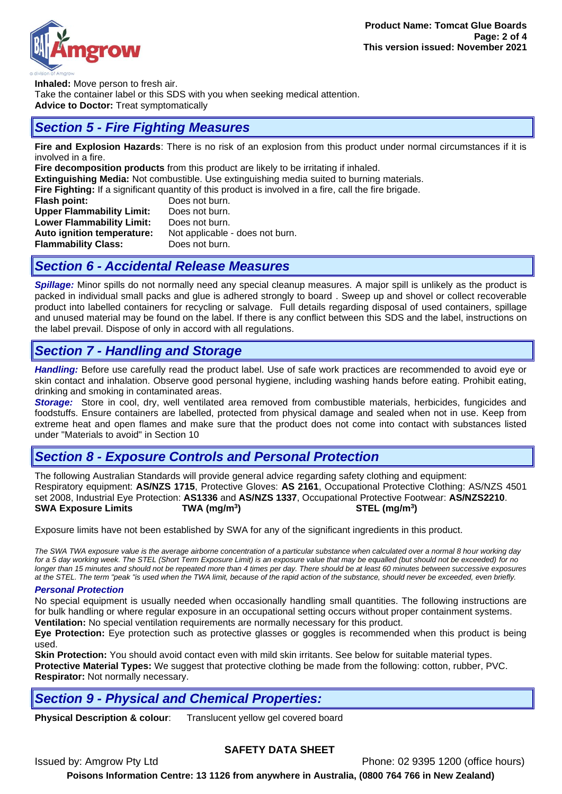

**Inhaled:** Move person to fresh air. Take the container label or this SDS with you when seeking medical attention. **Advice to Doctor:** Treat symptomatically

# *Section 5 - Fire Fighting Measures*

**Fire and Explosion Hazards**: There is no risk of an explosion from this product under normal circumstances if it is involved in a fire.

**Fire decomposition products** from this product are likely to be irritating if inhaled.

**Extinguishing Media:** Not combustible. Use extinguishing media suited to burning materials.

**Fire Fighting:** If a significant quantity of this product is involved in a fire, call the fire brigade.

| Does not burn.                  |
|---------------------------------|
| Does not burn.                  |
| Does not burn.                  |
| Not applicable - does not burn. |
| Does not burn.                  |
|                                 |

## *Section 6 - Accidental Release Measures*

*Spillage:* Minor spills do not normally need any special cleanup measures. A major spill is unlikely as the product is packed in individual small packs and glue is adhered strongly to board . Sweep up and shovel or collect recoverable product into labelled containers for recycling or salvage. Full details regarding disposal of used containers, spillage and unused material may be found on the label. If there is any conflict between this SDS and the label, instructions on the label prevail. Dispose of only in accord with all regulations.

# *Section 7 - Handling and Storage*

*Handling:* Before use carefully read the product label. Use of safe work practices are recommended to avoid eye or skin contact and inhalation. Observe good personal hygiene, including washing hands before eating. Prohibit eating, drinking and smoking in contaminated areas.

*Storage:*Store in cool, dry, well ventilated area removed from combustible materials, herbicides, fungicides and foodstuffs. Ensure containers are labelled, protected from physical damage and sealed when not in use. Keep from extreme heat and open flames and make sure that the product does not come into contact with substances listed under "Materials to avoid" in Section 10

# *Section 8 - Exposure Controls and Personal Protection*

The following Australian Standards will provide general advice regarding safety clothing and equipment: Respiratory equipment: **AS/NZS 1715**, Protective Gloves: **AS 2161**, Occupational Protective Clothing: AS/NZS 4501 set 2008, Industrial Eye Protection: **AS1336** and **AS/NZS 1337**, Occupational Protective Footwear: **AS/NZS2210**. **SWA Exposure Limits TWA (mg/m<sup>3</sup> ) STEL (mg/m<sup>3</sup> )**

Exposure limits have not been established by SWA for any of the significant ingredients in this product.

*The SWA TWA exposure value is the average airborne concentration of a particular substance when calculated over a normal 8 hour working day for a 5 day working week. The STEL (Short Term Exposure Limit) is an exposure value that may be equalled (but should not be exceeded) for no longer than 15 minutes and should not be repeated more than 4 times per day. There should be at least 60 minutes between successive exposures at the STEL. The term "peak "is used when the TWA limit, because of the rapid action of the substance, should never be exceeded, even briefly.*

### *Personal Protection*

No special equipment is usually needed when occasionally handling small quantities. The following instructions are for bulk handling or where regular exposure in an occupational setting occurs without proper containment systems. **Ventilation:** No special ventilation requirements are normally necessary for this product.

**Eye Protection:** Eye protection such as protective glasses or goggles is recommended when this product is being used.

**Skin Protection:** You should avoid contact even with mild skin irritants. See below for suitable material types. **Protective Material Types:** We suggest that protective clothing be made from the following: cotton, rubber, PVC. **Respirator:** Not normally necessary.

# *Section 9 - Physical and Chemical Properties:*

**Physical Description & colour**: Translucent yellow gel covered board

### **SAFETY DATA SHEET**

Issued by: Amgrow Pty Ltd Phone: 02 9395 1200 (office hours) **Poisons Information Centre: 13 1126 from anywhere in Australia, (0800 764 766 in New Zealand)**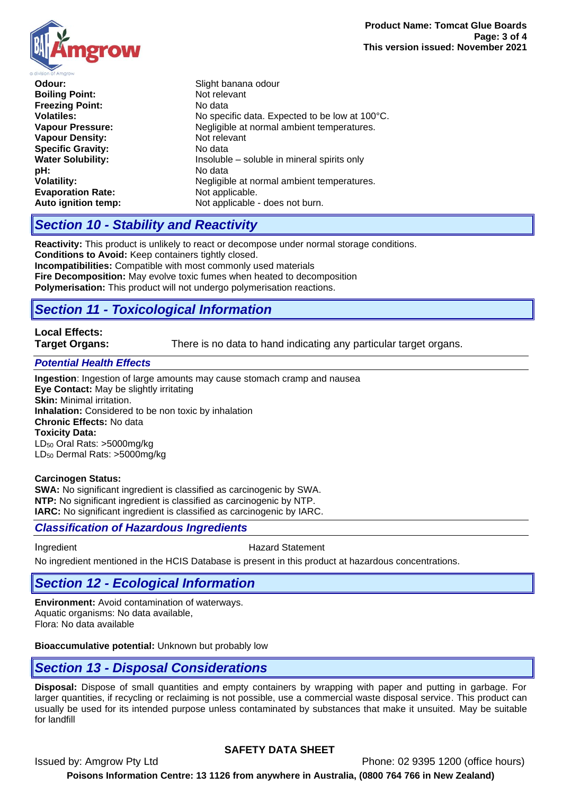**Odour:** Slight banana odour **Boiling Point:** Not relevant **Freezing Point:** No data **Volatiles:** No specific data. Expected to be low at 100°C. **Vapour Pressure:** Negligible at normal ambient temperatures. **Vapour Density: Not relevant**<br> **Specific Gravity:** No data **Specific Gravity:**<br>Water Solubility: Insoluble – soluble in mineral spirits only **pH:** No data Negligible at normal ambient temperatures. **Evaporation Rate:** Not applicable. **Auto ignition temp:** Not applicable - does not burn.

# *Section 10 - Stability and Reactivity*

**Reactivity:** This product is unlikely to react or decompose under normal storage conditions. **Conditions to Avoid:** Keep containers tightly closed.

**Incompatibilities:** Compatible with most commonly used materials **Fire Decomposition:** May evolve toxic fumes when heated to decomposition **Polymerisation:** This product will not undergo polymerisation reactions.

# *Section 11 - Toxicological Information*

# **Local Effects:**

**Target Organs:** There is no data to hand indicating any particular target organs.

#### *Potential Health Effects*

**Ingestion**: Ingestion of large amounts may cause stomach cramp and nausea **Eye Contact:** May be slightly irritating **Skin:** Minimal irritation. **Inhalation:** Considered to be non toxic by inhalation **Chronic Effects:** No data **Toxicity Data:**  LD<sup>50</sup> Oral Rats: >5000mg/kg LD<sup>50</sup> Dermal Rats: >5000mg/kg

#### **Carcinogen Status:**

**SWA:** No significant ingredient is classified as carcinogenic by SWA. **NTP:** No significant ingredient is classified as carcinogenic by NTP. **IARC:** No significant ingredient is classified as carcinogenic by IARC.

### *Classification of Hazardous Ingredients*

Ingredient **Hazard Statement** 

No ingredient mentioned in the HCIS Database is present in this product at hazardous concentrations.

# *Section 12 - Ecological Information*

**Environment:** Avoid contamination of waterways. Aquatic organisms: No data available, Flora: No data available

**Bioaccumulative potential:** Unknown but probably low

## *Section 13 - Disposal Considerations*

**Disposal:** Dispose of small quantities and empty containers by wrapping with paper and putting in garbage. For larger quantities, if recycling or reclaiming is not possible, use a commercial waste disposal service. This product can usually be used for its intended purpose unless contaminated by substances that make it unsuited. May be suitable for landfill

### **SAFETY DATA SHEET**

Issued by: Amgrow Pty Ltd **Phone: 02 9395 1200** (office hours) **Poisons Information Centre: 13 1126 from anywhere in Australia, (0800 764 766 in New Zealand)**